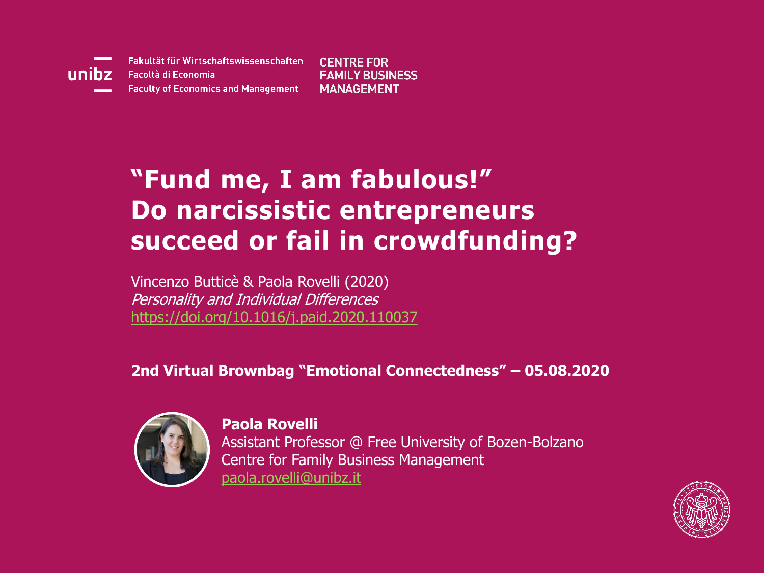

Fakultät für Wirtschaftswissenschaften Facoltà di Economia **Faculty of Economics and Management** 

**CENTRE FOR FAMILY BUSINESS MANAGEMENT** 

### **"Fund me, I am fabulous!" Do narcissistic entrepreneurs succeed or fail in crowdfunding?**

Vincenzo Butticè & Paola Rovelli (2020) Personality and Individual Differences <https://doi.org/10.1016/j.paid.2020.110037>

**2nd Virtual Brownbag "Emotional Connectedness" – 05.08.2020**



**Paola Rovelli** Assistant Professor @ Free University of Bozen-Bolzano Centre for Family Business Management [paola.rovelli@unibz.it](mailto:Paola.rovelli@unibz.it)

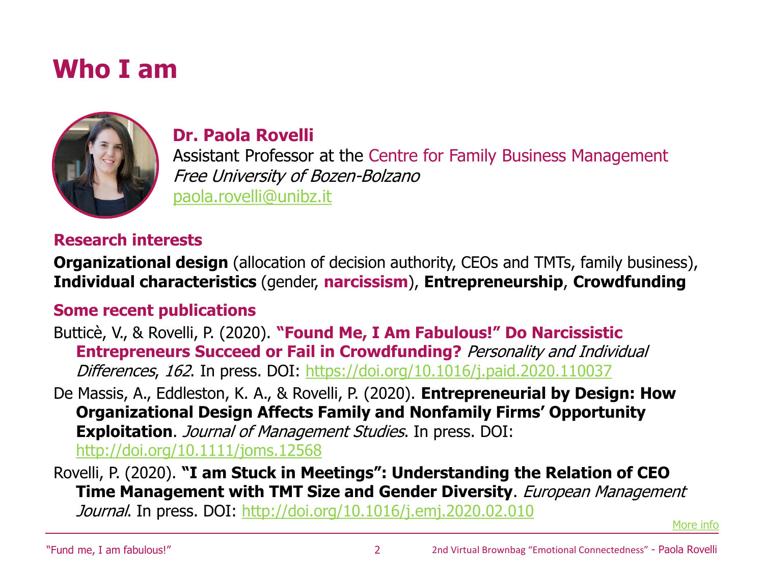### **Who I am**



#### **Dr. Paola Rovelli**

Assistant Professor at the Centre for Family Business Management Free University of Bozen-Bolzano [paola.rovelli@unibz.it](mailto:paola.rovelli@unibz.it)

#### **Research interests**

**Organizational design** (allocation of decision authority, CEOs and TMTs, family business), **Individual characteristics** (gender, **narcissism**), **Entrepreneurship**, **Crowdfunding**

#### **Some recent publications**

Butticè, V., & Rovelli, P. (2020). **"Found Me, I Am Fabulous!" Do Narcissistic Entrepreneurs Succeed or Fail in Crowdfunding?** Personality and Individual Differences, 162. In press. DOI: <https://doi.org/10.1016/j.paid.2020.110037>

De Massis, A., Eddleston, K. A., & Rovelli, P. (2020). **Entrepreneurial by Design: How Organizational Design Affects Family and Nonfamily Firms' Opportunity Exploitation**. *Journal of Management Studies*. In press. DOI: <http://doi.org/10.1111/joms.12568>

Rovelli, P. (2020). **"I am Stuck in Meetings": Understanding the Relation of CEO Time Management with TMT Size and Gender Diversity**. European Management Journal. In press. DOI: <http://doi.org/10.1016/j.emj.2020.02.010>

[More info](https://cfbm.groups.unibz.it/paola-rovelli/)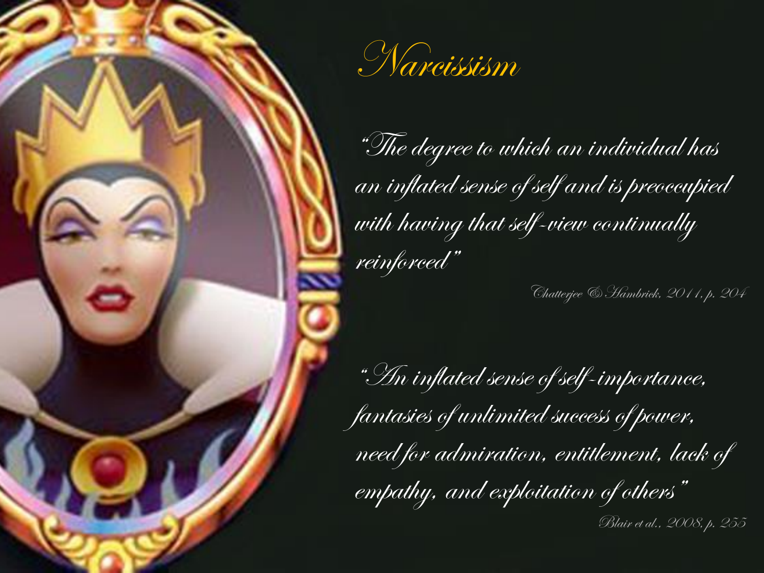

"The degree to which an individual has an inflated sense of self and is preoccupied with having that self-view continually reinforced"

Chatterjee & Hambrick, 2011, p. 204

"An inflated sense of self-importance, fantasies of unlimited success of power, need for admiration, entitlement, lack of empathy, and exploitation of others"

Blair et al., 2008, p. 255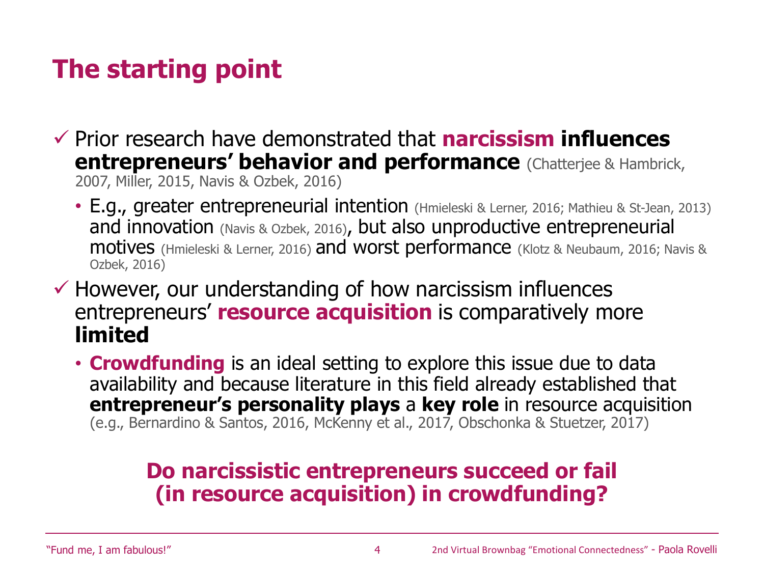# **The starting point**

- ✓ Prior research have demonstrated that **narcissism influences entrepreneurs' behavior and performance** (Chatterjee & Hambrick, 2007, Miller, 2015, Navis & Ozbek, 2016)
	- E.g., greater entrepreneurial intention (Hmieleski & Lerner, 2016; Mathieu & St-Jean, 2013) and innovation (Navis & Ozbek, 2016), but also unproductive entrepreneurial motives (Hmieleski & Lerner, 2016) and worst performance (Klotz & Neubaum, 2016; Navis & Ozbek, 2016)
- $\checkmark$  However, our understanding of how narcissism influences entrepreneurs' **resource acquisition** is comparatively more **limited**
	- **Crowdfunding** is an ideal setting to explore this issue due to data availability and because literature in this field already established that **entrepreneur's personality plays** a **key role** in resource acquisition (e.g., Bernardino & Santos, 2016, McKenny et al., 2017, Obschonka & Stuetzer, 2017)

### **Do narcissistic entrepreneurs succeed or fail (in resource acquisition) in crowdfunding?**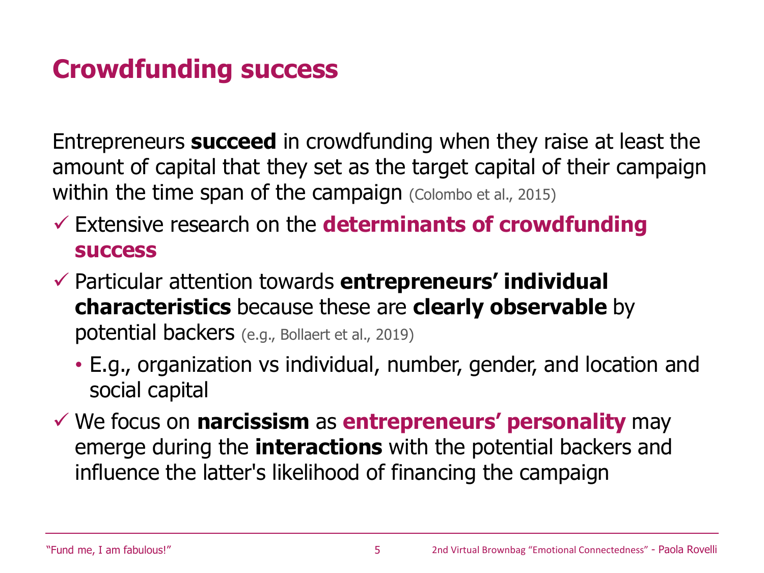## **Crowdfunding success**

Entrepreneurs **succeed** in crowdfunding when they raise at least the amount of capital that they set as the target capital of their campaign within the time span of the campaign (Colombo et al., 2015)

- ✓ Extensive research on the **determinants of crowdfunding success**
- ✓ Particular attention towards **entrepreneurs' individual characteristics** because these are **clearly observable** by potential backers (e.g., Bollaert et al., 2019)
	- E.g., organization vs individual, number, gender, and location and social capital
- ✓ We focus on **narcissism** as **entrepreneurs' personality** may emerge during the **interactions** with the potential backers and influence the latter's likelihood of financing the campaign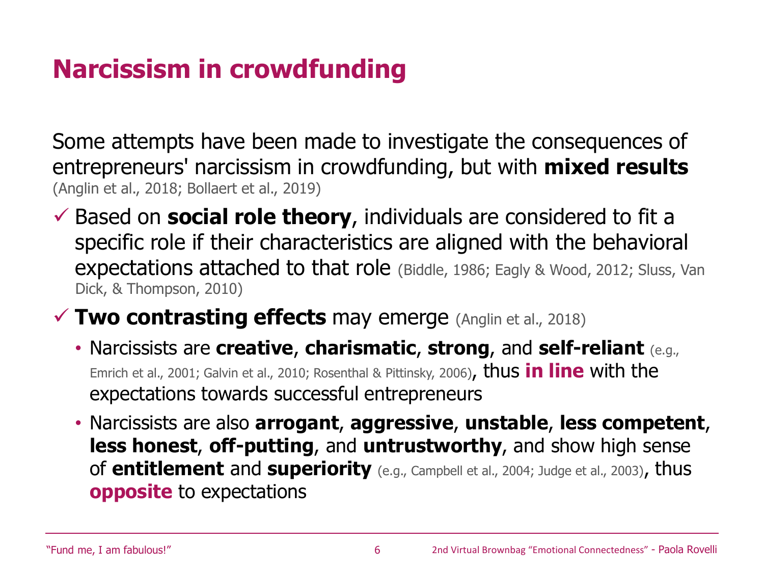# **Narcissism in crowdfunding**

Some attempts have been made to investigate the consequences of entrepreneurs' narcissism in crowdfunding, but with **mixed results**  (Anglin et al., 2018; Bollaert et al., 2019)

- $\checkmark$  Based on **social role theory**, individuals are considered to fit a specific role if their characteristics are aligned with the behavioral expectations attached to that role (Biddle, 1986; Eagly & Wood, 2012; Sluss, Van Dick, & Thompson, 2010)
- **✓ Two contrasting effects may emerge (Anglin et al., 2018)** 
	- Narcissists are **creative**, **charismatic**, **strong**, and **self-reliant** (e.g., Emrich et al., 2001; Galvin et al., 2010; Rosenthal & Pittinsky, 2006), thus **in line** with the expectations towards successful entrepreneurs
	- Narcissists are also **arrogant**, **aggressive**, **unstable**, **less competent**, **less honest**, **off-putting**, and **untrustworthy**, and show high sense of **entitlement** and **superiority** (e.g., Campbell et al., 2004; Judge et al., 2003), thus **opposite** to expectations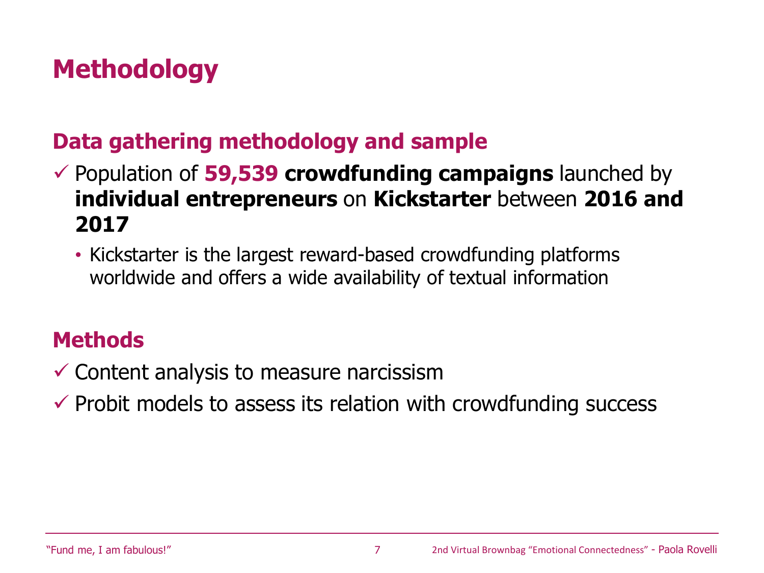# **Methodology**

### **Data gathering methodology and sample**

✓ Population of **59,539 crowdfunding campaigns** launched by **individual entrepreneurs** on **Kickstarter** between **2016 and 2017**

• Kickstarter is the largest reward-based crowdfunding platforms worldwide and offers a wide availability of textual information

### **Methods**

- $\checkmark$  Content analysis to measure narcissism
- $\checkmark$  Probit models to assess its relation with crowdfunding success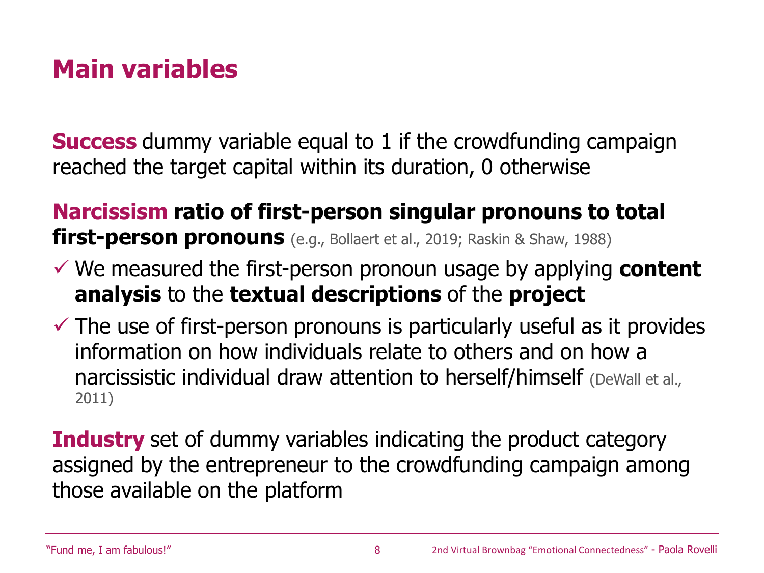# **Main variables**

**Success** dummy variable equal to 1 if the crowdfunding campaign reached the target capital within its duration, 0 otherwise

### **Narcissism ratio of first-person singular pronouns to total first-person pronouns** (e.g., Bollaert et al., 2019; Raskin & Shaw, 1988)

- ✓ We measured the first-person pronoun usage by applying **content analysis** to the **textual descriptions** of the **project**
- $\checkmark$  The use of first-person pronouns is particularly useful as it provides information on how individuals relate to others and on how a narcissistic individual draw attention to herself/himself (DeWall et al., 2011)

**Industry** set of dummy variables indicating the product category assigned by the entrepreneur to the crowdfunding campaign among those available on the platform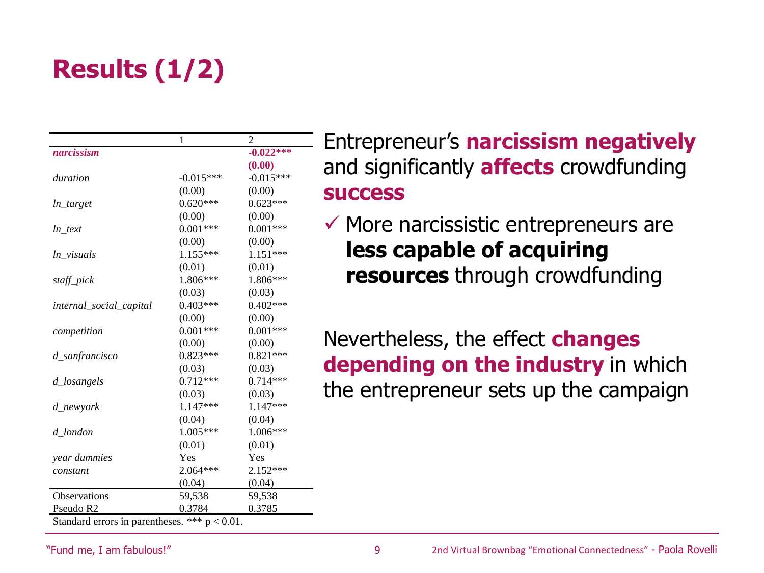# **Results (1/2)**

|                         | 1           | $\overline{c}$ |
|-------------------------|-------------|----------------|
| narcissism              |             | $-0.022***$    |
|                         |             | (0.00)         |
| duration                | $-0.015***$ | $-0.015***$    |
|                         | (0.00)      | (0.00)         |
| ln target               | $0.620***$  | $0.623***$     |
|                         | (0.00)      | (0.00)         |
| ln text                 | $0.001***$  | $0.001***$     |
|                         | (0.00)      | (0.00)         |
| ln_visuals              | 1.155***    | $1.151***$     |
|                         | (0.01)      | (0.01)         |
| staff_pick              | 1.806***    | 1.806***       |
|                         | (0.03)      | (0.03)         |
| internal_social_capital | $0.403***$  | $0.402***$     |
|                         | (0.00)      | (0.00)         |
| competition             | $0.001***$  | $0.001***$     |
|                         | (0.00)      | (0.00)         |
| d_sanfrancisco          | $0.823***$  | $0.821***$     |
|                         | (0.03)      | (0.03)         |
| d_losangels             | $0.712***$  | $0.714***$     |
|                         | (0.03)      | (0.03)         |
| d newyork               | $1.147***$  | $1.147***$     |
|                         | (0.04)      | (0.04)         |
| d_london                | $1.005***$  | $1.006***$     |
|                         | (0.01)      | (0.01)         |
| year dummies            | Yes         | Yes            |
| constant                | 2.064***    | $2.152***$     |
|                         | (0.04)      | (0.04)         |
| Observations            | 59,538      | 59,538         |
| Pseudo R <sub>2</sub>   | 0.3784      | 0.3785         |

Standard errors in parentheses. \*\*\*  $p < 0.01$ .

Entrepreneur's **narcissism negatively** and significantly **affects** crowdfunding **success**

 $\checkmark$  More narcissistic entrepreneurs are **less capable of acquiring resources** through crowdfunding

Nevertheless, the effect **changes depending on the industry** in which the entrepreneur sets up the campaign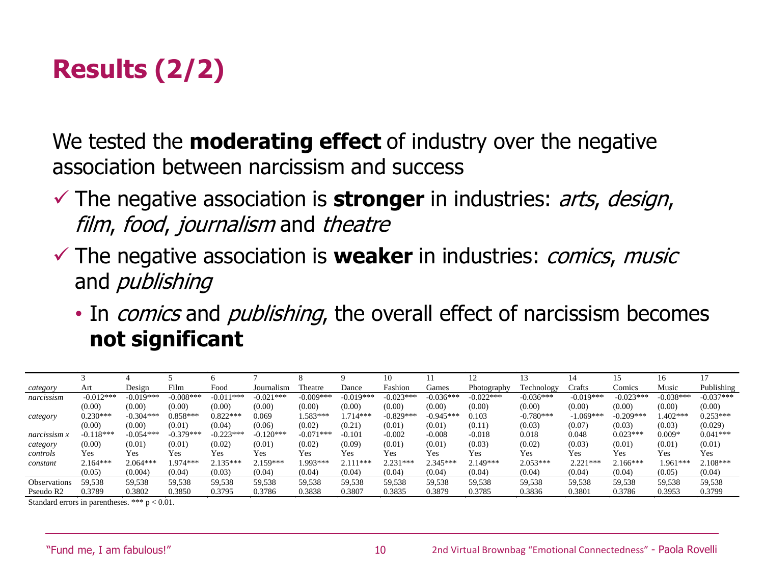# **Results (2/2)**

We tested the **moderating effect** of industry over the negative association between narcissism and success

- ✓ The negative association is **stronger** in industries: arts, design, film, food, journalism and theatre
- ✓ The negative association is **weaker** in industries: comics, music and *publishing* 
	- In *comics* and *publishing*, the overall effect of narcissism becomes **not significant**

|                       |             |             |             |             |             |                |             | 10          |             |             |             | 14          |             | 16          |             |
|-----------------------|-------------|-------------|-------------|-------------|-------------|----------------|-------------|-------------|-------------|-------------|-------------|-------------|-------------|-------------|-------------|
| category              | Art         | Design      | Film        | Food        | Journalism  | <b>Theatre</b> | Dance       | Fashion     | Games       | Photography | Technology  | Crafts      | Comics      | Music       | Publishing  |
| narcissism            | $-0.012***$ | $-0.019***$ | $-0.008***$ | $-0.011***$ | $-0.021***$ | $-0.009***$    | $-0.019***$ | $-0.023***$ | $-0.036***$ | $-0.022***$ | $-0.036***$ | $-0.019***$ | $-0.023***$ | $-0.038***$ | $-0.037***$ |
|                       | (0.00)      | (0.00)      | (0.00)      | (0.00)      | (0.00)      | (0.00)         | (0.00)      | (0.00)      | (0.00)      | (0.00)      | (0.00)      | (0.00)      | (0.00)      | (0.00)      | (0.00)      |
| category              | $0.230***$  | $-0.304***$ | $0.858***$  | $0.822***$  | 0.069       | $1.583***$     | $.714***$   | $-0.829***$ | $-0.945***$ | 0.103       | $-0.780***$ | $-1.069***$ | $-0.209***$ | $1.402***$  | $0.253***$  |
|                       | (0.00)      | (0.00)      | (0.01)      | (0.04)      | (0.06)      | (0.02)         | (0.21)      | (0.01)      | (0.01)      | (0.11)      | (0.03)      | (0.07)      | (0.03)      | (0.03)      | (0.029)     |
| narcissism x          | $-0.118***$ | $-0.054***$ | $-0.379***$ | $-0.223***$ | $-0.120***$ | $-0.071***$    | $-0.101$    | $-0.002$    | $-0.008$    | $-0.018$    | 0.018       | 0.048       | $0.023***$  | $0.009*$    | $0.041***$  |
| category              | (0.00)      | (0.01)      | (0.01)      | (0.02)      | (0.01)      | (0.02)         | (0.09)      | (0.01)      | (0.01)      | (0.03)      | (0.02)      | (0.03)      | (0.01)      | (0.01)      | (0.01)      |
| controls              | Yes         | Yes         | Yes         | Yes         | Yes         | Yes            | Yes         | Yes         | Yes         | <b>Yes</b>  | Yes         | Yes         | Yes         | Yes         | Yes         |
| constant              | $2.164***$  | $2.064***$  | $1.974***$  | $2.135***$  | $2.159***$  | 1.993***       | $2.111***$  | $2.231***$  | $2.345***$  | $2.149***$  | $2.053***$  | $2.221***$  | $2.166***$  | 1.961***    | $2.108***$  |
|                       | (0.05)      | (0.004)     | (0.04)      | (0.03)      | (0.04)      | (0.04)         | (0.04)      | (0.04)      | (0.04)      | (0.04)      | (0.04)      | (0.04)      | (0.04)      | (0.05)      | (0.04)      |
| <b>Observations</b>   | 59,538      | 59.538      | 59.538      | 59,538      | 59,538      | 59,538         | 59.538      | 59.538      | 59,538      | 59,538      | 59,538      | 59.538      | 59.538      | 59,538      | 59,538      |
| Pseudo R <sub>2</sub> | 0.3789      | 0.3802      | 0.3850      | 0.3795      | 0.3786      | 0.3838         | 0.3807      | 0.3835      | 0.3879      | 0.3785      | 0.3836      | 0.3801      | 0.3786      | 0.3953      | 0.3799      |

Standard errors in parentheses. \*\*\* p < 0.01.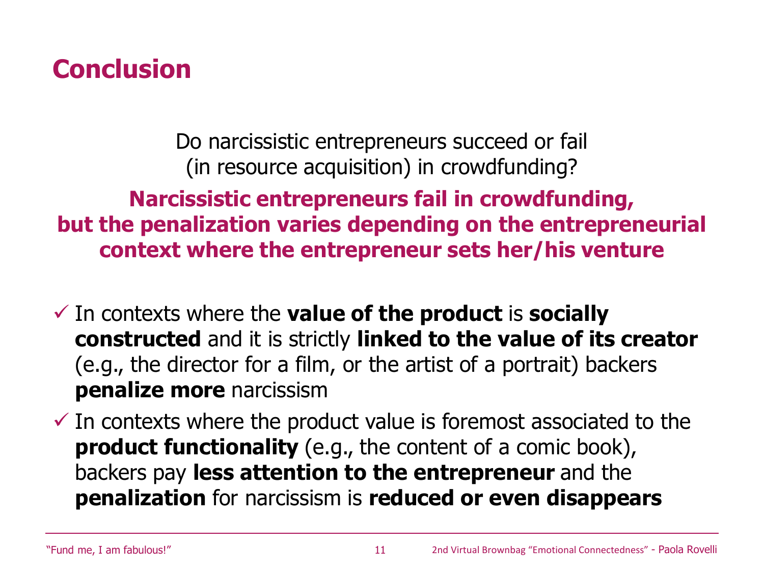### **Conclusion**

Do narcissistic entrepreneurs succeed or fail (in resource acquisition) in crowdfunding?

**Narcissistic entrepreneurs fail in crowdfunding, but the penalization varies depending on the entrepreneurial context where the entrepreneur sets her/his venture**

- ✓ In contexts where the **value of the product** is **socially constructed** and it is strictly **linked to the value of its creator**  (e.g., the director for a film, or the artist of a portrait) backers **penalize more** narcissism
- $\checkmark$  In contexts where the product value is foremost associated to the **product functionality** (e.g., the content of a comic book), backers pay **less attention to the entrepreneur** and the **penalization** for narcissism is **reduced or even disappears**